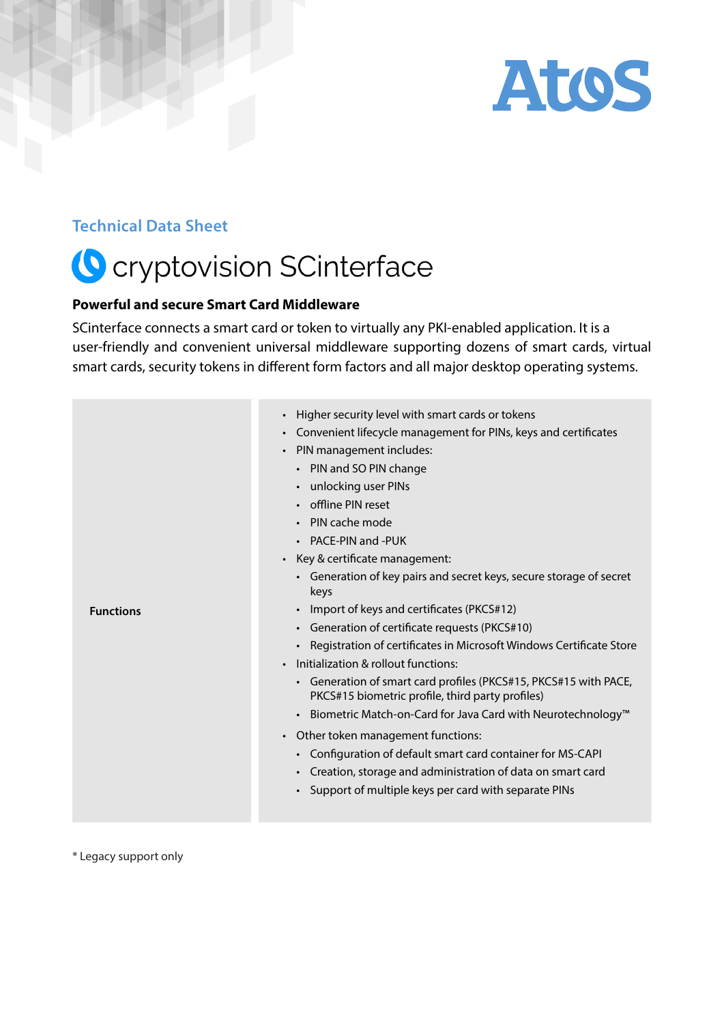

#### **Technical Data Sheet**

# **O** cryptovision SCinterface

#### **Powerful and secure Smart Card Middleware**

SCinterface connects a smart card or token to virtually any PKI-enabled application. It is a user-friendly and convenient universal middleware supporting dozens of smart cards, virtual smart cards, security tokens in different form factors and all major desktop operating systems.

| <b>Functions</b> | Higher security level with smart cards or tokens<br>$\bullet$<br>Convenient lifecycle management for PINs, keys and certificates<br>$\bullet$<br>PIN management includes:<br>$\bullet$<br>• PIN and SO PIN change<br>• unlocking user PINs<br>• offline PIN reset<br>• PIN cache mode<br>• PACE-PIN and -PUK<br>Key & certificate management:<br>$\bullet$<br>• Generation of key pairs and secret keys, secure storage of secret<br>keys<br>• Import of keys and certificates (PKCS#12)<br>• Generation of certificate requests (PKCS#10)<br>• Registration of certificates in Microsoft Windows Certificate Store<br>Initialization & rollout functions:<br>$\bullet$<br>• Generation of smart card profiles (PKCS#15, PKCS#15 with PACE,<br>PKCS#15 biometric profile, third party profiles)<br>• Biometric Match-on-Card for Java Card with Neurotechnology™<br>Other token management functions:<br>$\bullet$<br>• Configuration of default smart card container for MS-CAPI<br>• Creation, storage and administration of data on smart card<br>• Support of multiple keys per card with separate PINs |
|------------------|-------------------------------------------------------------------------------------------------------------------------------------------------------------------------------------------------------------------------------------------------------------------------------------------------------------------------------------------------------------------------------------------------------------------------------------------------------------------------------------------------------------------------------------------------------------------------------------------------------------------------------------------------------------------------------------------------------------------------------------------------------------------------------------------------------------------------------------------------------------------------------------------------------------------------------------------------------------------------------------------------------------------------------------------------------------------------------------------------------------|
|------------------|-------------------------------------------------------------------------------------------------------------------------------------------------------------------------------------------------------------------------------------------------------------------------------------------------------------------------------------------------------------------------------------------------------------------------------------------------------------------------------------------------------------------------------------------------------------------------------------------------------------------------------------------------------------------------------------------------------------------------------------------------------------------------------------------------------------------------------------------------------------------------------------------------------------------------------------------------------------------------------------------------------------------------------------------------------------------------------------------------------------|

\* Legacy support only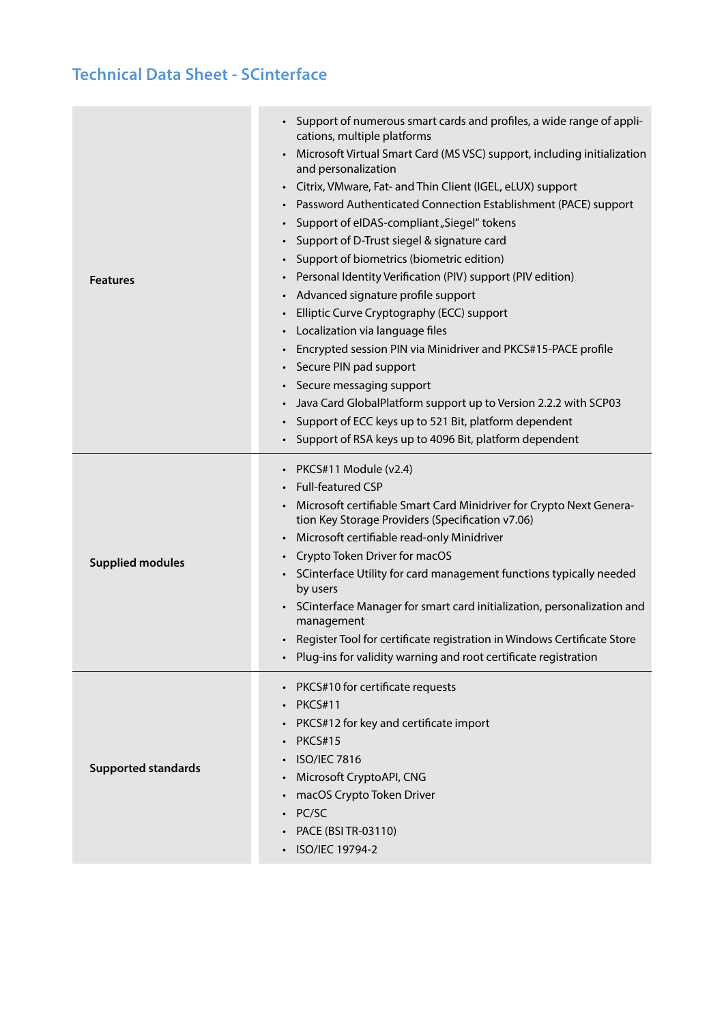| <b>Features</b>            | Support of numerous smart cards and profiles, a wide range of appli-<br>$\bullet$<br>cations, multiple platforms<br>Microsoft Virtual Smart Card (MS VSC) support, including initialization<br>and personalization<br>• Citrix, VMware, Fat- and Thin Client (IGEL, eLUX) support<br>Password Authenticated Connection Establishment (PACE) support<br>Support of elDAS-compliant "Siegel" tokens<br>Support of D-Trust siegel & signature card<br>Support of biometrics (biometric edition)<br>$\bullet$<br>Personal Identity Verification (PIV) support (PIV edition)<br>Advanced signature profile support<br>$\bullet$<br>Elliptic Curve Cryptography (ECC) support<br>• Localization via language files<br>Encrypted session PIN via Minidriver and PKCS#15-PACE profile<br>Secure PIN pad support<br>$\bullet$<br>Secure messaging support<br>$\bullet$<br>Java Card GlobalPlatform support up to Version 2.2.2 with SCP03<br>Support of ECC keys up to 521 Bit, platform dependent |
|----------------------------|-------------------------------------------------------------------------------------------------------------------------------------------------------------------------------------------------------------------------------------------------------------------------------------------------------------------------------------------------------------------------------------------------------------------------------------------------------------------------------------------------------------------------------------------------------------------------------------------------------------------------------------------------------------------------------------------------------------------------------------------------------------------------------------------------------------------------------------------------------------------------------------------------------------------------------------------------------------------------------------------|
|                            | Support of RSA keys up to 4096 Bit, platform dependent                                                                                                                                                                                                                                                                                                                                                                                                                                                                                                                                                                                                                                                                                                                                                                                                                                                                                                                                    |
| <b>Supplied modules</b>    | PKCS#11 Module (v2.4)<br><b>Full-featured CSP</b><br>Microsoft certifiable Smart Card Minidriver for Crypto Next Genera-<br>tion Key Storage Providers (Specification v7.06)<br>Microsoft certifiable read-only Minidriver<br>$\bullet$<br>Crypto Token Driver for macOS<br>SCinterface Utility for card management functions typically needed<br>$\bullet$<br>by users<br>SCinterface Manager for smart card initialization, personalization and<br>management<br>Register Tool for certificate registration in Windows Certificate Store<br>Plug-ins for validity warning and root certificate registration                                                                                                                                                                                                                                                                                                                                                                             |
| <b>Supported standards</b> | PKCS#10 for certificate requests<br>$\bullet$<br><b>PKCS#11</b><br>$\bullet$<br>PKCS#12 for key and certificate import<br><b>PKCS#15</b><br><b>ISO/IEC 7816</b><br>Microsoft CryptoAPI, CNG<br>$\bullet$<br>macOS Crypto Token Driver<br>PC/SC<br>PACE (BSI TR-03110)<br>ISO/IEC 19794-2                                                                                                                                                                                                                                                                                                                                                                                                                                                                                                                                                                                                                                                                                                  |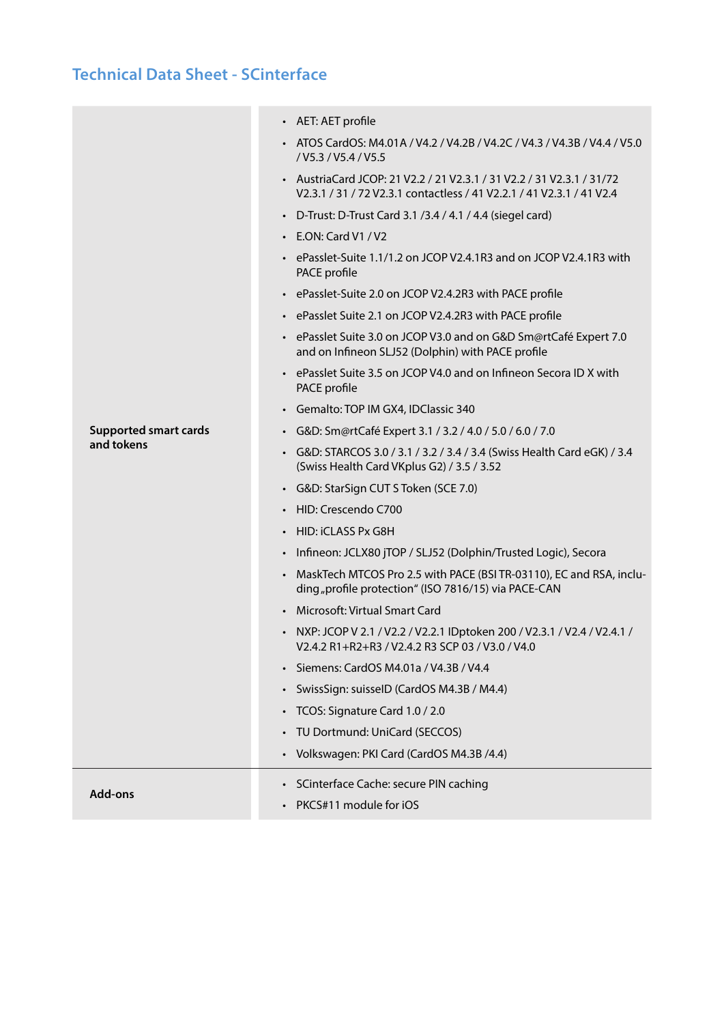|                              | • AET: AET profile                                                                                                                              |
|------------------------------|-------------------------------------------------------------------------------------------------------------------------------------------------|
|                              | • ATOS CardOS: M4.01A / V4.2 / V4.2B / V4.2C / V4.3 / V4.3B / V4.4 / V5.0<br>/ V5.3 / V5.4 / V5.5                                               |
|                              | • Austria Card JCOP: 21 V2.2 / 21 V2.3.1 / 31 V2.2 / 31 V2.3.1 / 31/72<br>V2.3.1 / 31 / 72 V2.3.1 contactless / 41 V2.2.1 / 41 V2.3.1 / 41 V2.4 |
|                              | • D-Trust: D-Trust Card 3.1 /3.4 / 4.1 / 4.4 (siegel card)                                                                                      |
|                              | $\cdot$ E.ON: Card V1 / V2                                                                                                                      |
|                              | • ePasslet-Suite 1.1/1.2 on JCOP V2.4.1R3 and on JCOP V2.4.1R3 with<br>PACE profile                                                             |
|                              | • ePasslet-Suite 2.0 on JCOP V2.4.2R3 with PACE profile                                                                                         |
|                              | • ePasslet Suite 2.1 on JCOP V2.4.2R3 with PACE profile                                                                                         |
|                              | • ePasslet Suite 3.0 on JCOP V3.0 and on G&D Sm@rtCafé Expert 7.0<br>and on Infineon SLJ52 (Dolphin) with PACE profile                          |
|                              | • ePasslet Suite 3.5 on JCOP V4.0 and on Infineon Secora ID X with<br>PACE profile                                                              |
|                              | • Gemalto: TOP IM GX4, IDClassic 340                                                                                                            |
| <b>Supported smart cards</b> | · G&D: Sm@rtCafé Expert 3.1 / 3.2 / 4.0 / 5.0 / 6.0 / 7.0                                                                                       |
| and tokens                   | • G&D: STARCOS 3.0 / 3.1 / 3.2 / 3.4 / 3.4 (Swiss Health Card eGK) / 3.4<br>(Swiss Health Card VKplus G2) / 3.5 / 3.52                          |
|                              | • G&D: StarSign CUT S Token (SCE 7.0)                                                                                                           |
|                              | • HID: Crescendo C700                                                                                                                           |
|                              | • HID: iCLASS Px G8H                                                                                                                            |
|                              | · Infineon: JCLX80 jTOP / SLJ52 (Dolphin/Trusted Logic), Secora                                                                                 |
|                              | • MaskTech MTCOS Pro 2.5 with PACE (BSI TR-03110), EC and RSA, inclu-<br>ding "profile protection" (ISO 7816/15) via PACE-CAN                   |
|                              | • Microsoft: Virtual Smart Card                                                                                                                 |
|                              | • NXP: JCOP V 2.1 / V2.2 / V2.2.1 IDptoken 200 / V2.3.1 / V2.4 / V2.4.1 /<br>V2.4.2 R1+R2+R3 / V2.4.2 R3 SCP 03 / V3.0 / V4.0                   |
|                              | Siemens: CardOS M4.01a / V4.3B / V4.4<br>$\bullet$                                                                                              |
|                              | SwissSign: suisselD (CardOS M4.3B / M4.4)                                                                                                       |
|                              | • TCOS: Signature Card 1.0 / 2.0                                                                                                                |
|                              | TU Dortmund: UniCard (SECCOS)                                                                                                                   |
|                              | • Volkswagen: PKI Card (CardOS M4.3B /4.4)                                                                                                      |
| <b>Add-ons</b>               | • SCinterface Cache: secure PIN caching                                                                                                         |
|                              | PKCS#11 module for iOS                                                                                                                          |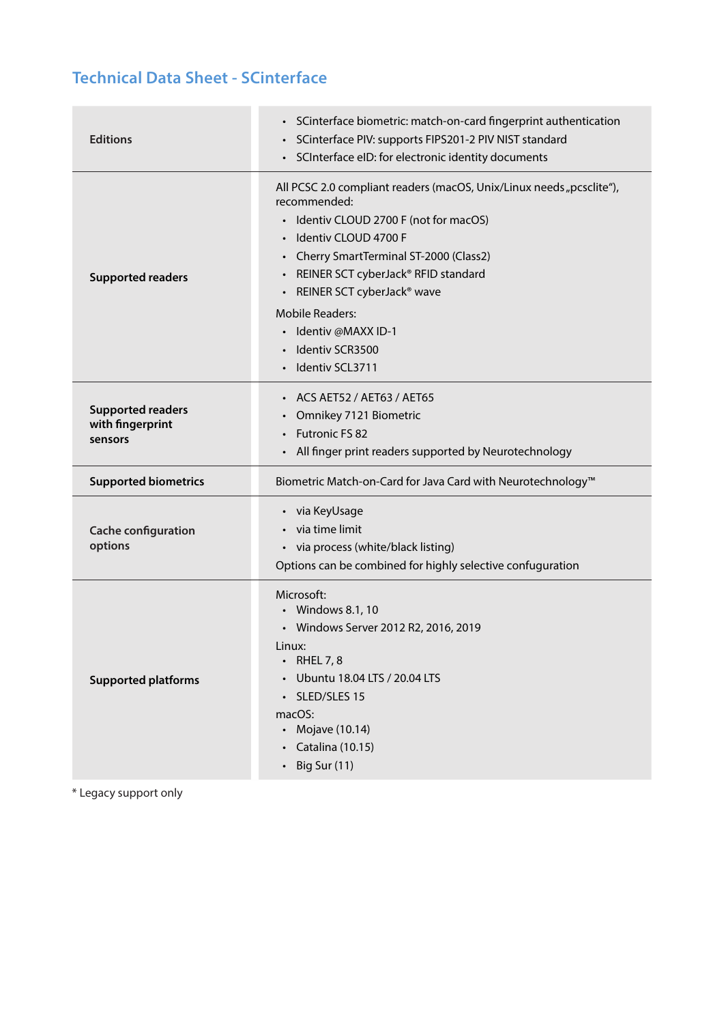| <b>Editions</b>                                         | • SCinterface biometric: match-on-card fingerprint authentication<br>SCinterface PIV: supports FIPS201-2 PIV NIST standard<br>SCInterface eID: for electronic identity documents                                                                                                                                                                                                  |
|---------------------------------------------------------|-----------------------------------------------------------------------------------------------------------------------------------------------------------------------------------------------------------------------------------------------------------------------------------------------------------------------------------------------------------------------------------|
| <b>Supported readers</b>                                | All PCSC 2.0 compliant readers (macOS, Unix/Linux needs "pcsclite"),<br>recommended:<br>Identiv CLOUD 2700 F (not for macOS)<br>Identiv CLOUD 4700 F<br>Cherry SmartTerminal ST-2000 (Class2)<br>REINER SCT cyberJack® RFID standard<br>REINER SCT cyberJack <sup>®</sup> wave<br><b>Mobile Readers:</b><br>Identiv @MAXX ID-1<br>$\bullet$<br>Identiv SCR3500<br>Identiv SCL3711 |
| <b>Supported readers</b><br>with fingerprint<br>sensors | ACS AET52 / AET63 / AET65<br>$\bullet$<br>Omnikey 7121 Biometric<br>Futronic FS 82<br>$\bullet$<br>All finger print readers supported by Neurotechnology                                                                                                                                                                                                                          |
| <b>Supported biometrics</b>                             | Biometric Match-on-Card for Java Card with Neurotechnology <sup>™</sup>                                                                                                                                                                                                                                                                                                           |
| <b>Cache configuration</b><br>options                   | • via KeyUsage<br>via time limit<br>• via process (white/black listing)<br>Options can be combined for highly selective confuguration                                                                                                                                                                                                                                             |
| <b>Supported platforms</b>                              | Microsoft:<br>• Windows 8.1, 10<br>• Windows Server 2012 R2, 2016, 2019<br>Linux:<br><b>RHEL 7, 8</b><br>Ubuntu 18.04 LTS / 20.04 LTS<br>SLED/SLES 15<br>macOS:<br>Mojave (10.14)<br>Catalina (10.15)<br>Big Sur (11)                                                                                                                                                             |

\* Legacy support only